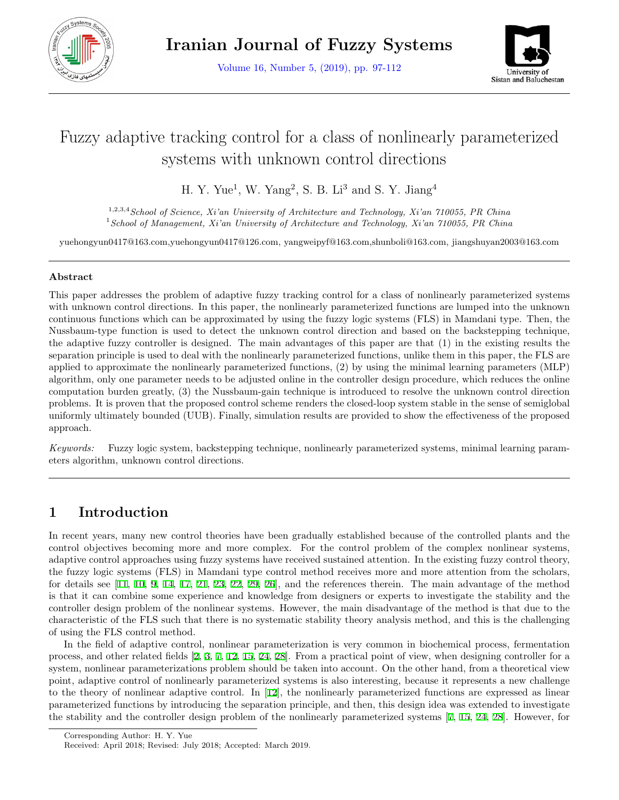

Volume 16, Number 5, (2019), pp. 97-112



# Fuzzy adaptive tracking control for a class of nonlinearly parameterized systems with unknown control directions

H. Y. Yue<sup>1</sup>, W. Yang<sup>2</sup>, S. B. Li<sup>3</sup> and S. Y. Jiang<sup>4</sup>

1,2,3,4*School of Science, Xi'an University of Architecture and Technology, Xi'an 710055, PR China* <sup>1</sup>*School of Management, Xi'an University of Architecture and Technology, Xi'an 710055, PR China*

yuehongyun0417@163.com,yuehongyun0417@126.com, yangweipyf@163.com,shunboli@163.com, jiangshuyan2003@163.com

### **Abstract**

This paper addresses the problem of adaptive fuzzy tracking control for a class of nonlinearly parameterized systems with unknown control directions. In this paper, the nonlinearly parameterized functions are lumped into the unknown continuous functions which can be approximated by using the fuzzy logic systems (FLS) in Mamdani type. Then, the Nussbaum-type function is used to detect the unknown control direction and based on the backstepping technique, the adaptive fuzzy controller is designed. The main advantages of this paper are that (1) in the existing results the separation principle is used to deal with the nonlinearly parameterized functions, unlike them in this paper, the FLS are applied to approximate the nonlinearly parameterized functions, (2) by using the minimal learning parameters (MLP) algorithm, only one parameter needs to be adjusted online in the controller design procedure, which reduces the online computation burden greatly, (3) the Nussbaum-gain technique is introduced to resolve the unknown control direction problems. It is proven that the proposed control scheme renders the closed-loop system stable in the sense of semiglobal uniformly ultimately bounded (UUB). Finally, simulation results are provided to show the effectiveness of the proposed approach.

*Keywords:* Fuzzy logic system, backstepping technique, nonlinearly parameterized systems, minimal learning parameters algorithm, unknown control directions.

# **1 Introduction**

In recent years, many new control theories have been gradually established because of the controlled plants and the control objectives becoming more and more complex. For the control problem of the complex nonlinear systems, adaptive control approaches using fuzzy systems have received sustained attention. In the existing fuzzy control theory, the fuzzy logic systems (FLS) in Mamdani type control method receives more and more attention from the scholars, for details see [\[11](#page-15-0), [10,](#page-14-0) [9,](#page-14-1) [14](#page-15-1), [17](#page-15-2), [21](#page-15-3), [23,](#page-15-4) [22,](#page-15-5) [29](#page-15-6), [26](#page-15-7)], and the references therein. The main advantage of the method is that it can combine some experience and knowledge from designers or experts to investigate the stability and the controller design problem of the nonlinear systems. However, the main disadvantage of the method is that due to the characteristic of the FLS such that there is no systematic stability theory analysis method, and this is the challenging of using the FLS control method.

In the field of adaptive control, nonlinear parameterization is very common in biochemical process, fermentation process, and other related fields [[2,](#page-14-2) [3,](#page-14-3) [7,](#page-14-4) [12,](#page-15-8) [15](#page-15-9), [24](#page-15-10), [28](#page-15-11)]. From a practical point of view, when designing controller for a system, nonlinear parameterizations problem should be taken into account. On the other hand, from a theoretical view point, adaptive control of nonlinearly parameterized systems is also interesting, because it represents a new challenge to the theory of nonlinear adaptive control. In [\[12](#page-15-8)], the nonlinearly parameterized functions are expressed as linear parameterized functions by introducing the separation principle, and then, this design idea was extended to investigate the stability and the controller design problem of the nonlinearly parameterized systems [\[7](#page-14-4), [15,](#page-15-9) [24](#page-15-10), [28\]](#page-15-11). However, for

Corresponding Author: H. Y. Yue

Received: April 2018; Revised: July 2018; Accepted: March 2019.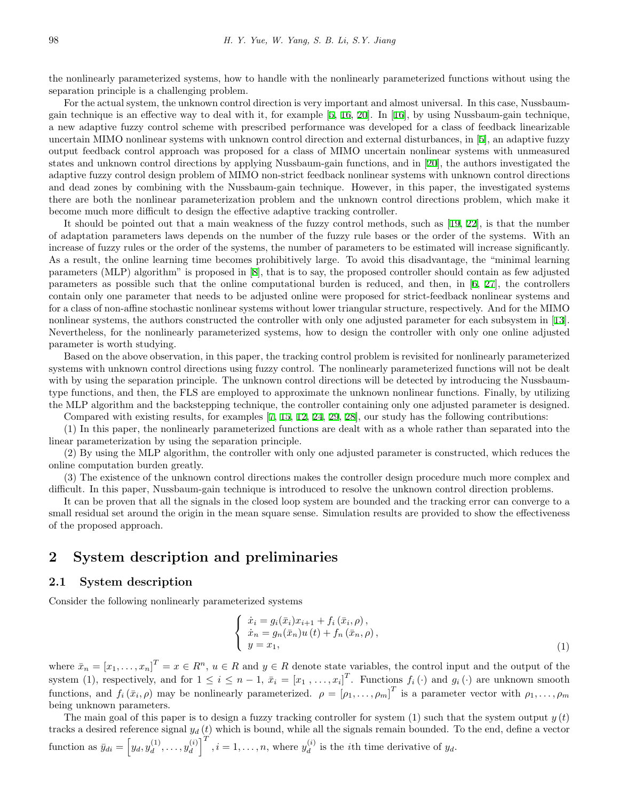the nonlinearly parameterized systems, how to handle with the nonlinearly parameterized functions without using the separation principle is a challenging problem.

For the actual system, the unknown control direction is very important and almost universal. In this case, Nussbaumgain technique is an effective way to deal with it, for example [[5,](#page-14-5) [16](#page-15-12), [20](#page-15-13)]. In [[16\]](#page-15-12), by using Nussbaum-gain technique, a new adaptive fuzzy control scheme with prescribed performance was developed for a class of feedback linearizable uncertain MIMO nonlinear systems with unknown control direction and external disturbances, in [[5](#page-14-5)], an adaptive fuzzy output feedback control approach was proposed for a class of MIMO uncertain nonlinear systems with unmeasured states and unknown control directions by applying Nussbaum-gain functions, and in [\[20](#page-15-13)], the authors investigated the adaptive fuzzy control design problem of MIMO non-strict feedback nonlinear systems with unknown control directions and dead zones by combining with the Nussbaum-gain technique. However, in this paper, the investigated systems there are both the nonlinear parameterization problem and the unknown control directions problem, which make it become much more difficult to design the effective adaptive tracking controller.

It should be pointed out that a main weakness of the fuzzy control methods, such as [[19](#page-15-14), [22\]](#page-15-5), is that the number of adaptation parameters laws depends on the number of the fuzzy rule bases or the order of the systems. With an increase of fuzzy rules or the order of the systems, the number of parameters to be estimated will increase significantly. As a result, the online learning time becomes prohibitively large. To avoid this disadvantage, the "minimal learning parameters (MLP) algorithm" is proposed in [[8\]](#page-14-6), that is to say, the proposed controller should contain as few adjusted parameters as possible such that the online computational burden is reduced, and then, in [[6](#page-14-7), [27\]](#page-15-15), the controllers contain only one parameter that needs to be adjusted online were proposed for strict-feedback nonlinear systems and for a class of non-affine stochastic nonlinear systems without lower triangular structure, respectively. And for the MIMO nonlinear systems, the authors constructed the controller with only one adjusted parameter for each subsystem in [[13](#page-15-16)]. Nevertheless, for the nonlinearly parameterized systems, how to design the controller with only one online adjusted parameter is worth studying.

Based on the above observation, in this paper, the tracking control problem is revisited for nonlinearly parameterized systems with unknown control directions using fuzzy control. The nonlinearly parameterized functions will not be dealt with by using the separation principle. The unknown control directions will be detected by introducing the Nussbaumtype functions, and then, the FLS are employed to approximate the unknown nonlinear functions. Finally, by utilizing the MLP algorithm and the backstepping technique, the controller containing only one adjusted parameter is designed.

Compared with existing results, for examples [\[7](#page-14-4), [15](#page-15-9), [12](#page-15-8), [24](#page-15-10), [29](#page-15-6), [28\]](#page-15-11), our study has the following contributions:

(1) In this paper, the nonlinearly parameterized functions are dealt with as a whole rather than separated into the linear parameterization by using the separation principle.

(2) By using the MLP algorithm, the controller with only one adjusted parameter is constructed, which reduces the online computation burden greatly.

(3) The existence of the unknown control directions makes the controller design procedure much more complex and difficult. In this paper, Nussbaum-gain technique is introduced to resolve the unknown control direction problems.

It can be proven that all the signals in the closed loop system are bounded and the tracking error can converge to a small residual set around the origin in the mean square sense. Simulation results are provided to show the effectiveness of the proposed approach.

# **2 System description and preliminaries**

#### **2.1 System description**

Consider the following nonlinearly parameterized systems

$$
\begin{cases}\n\dot{x}_i = g_i(\bar{x}_i)x_{i+1} + f_i(\bar{x}_i, \rho), \\
\dot{x}_n = g_n(\bar{x}_n)u(t) + f_n(\bar{x}_n, \rho), \\
y = x_1,\n\end{cases} (1)
$$

where  $\bar{x}_n = [x_1, \ldots, x_n]^T = x \in R^n$ ,  $u \in R$  and  $y \in R$  denote state variables, the control input and the output of the system (1), respectively, and for  $1 \leq i \leq n-1$ ,  $\bar{x}_i = [x_1, \ldots, x_i]^T$ . Functions  $f_i(\cdot)$  and  $g_i(\cdot)$  are unknown smooth functions, and  $f_i(\bar{x}_i, \rho)$  may be nonlinearly parameterized.  $\rho = [\rho_1, \ldots, \rho_m]^T$  is a parameter vector with  $\rho_1, \ldots, \rho_m$ being unknown parameters.

The main goal of this paper is to design a fuzzy tracking controller for system  $(1)$  such that the system output  $y(t)$ tracks a desired reference signal *y<sup>d</sup>* (*t*) which is bound, while all the signals remain bounded. To the end, define a vector function as  $\bar{y}_{di} = \left[ y_d, y_d^{(1)} \right]$  $y_d^{(1)}, \ldots, y_d^{(i)}$  $\left[\begin{matrix} (i) \\ d \end{matrix}\right]^T$ ,  $i = 1, ..., n$ , where  $y_d^{(i)}$  $\int_{d}^{(i)}$  is the *i*th time derivative of  $y_d$ .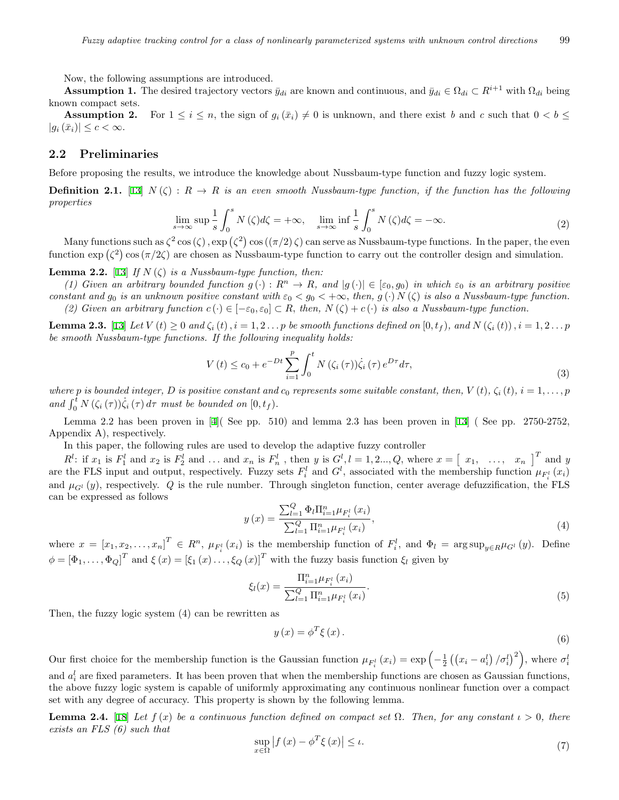Now, the following assumptions are introduced.

**Assumption 1.** The desired trajectory vectors  $\bar{y}_{di}$  are known and continuous, and  $\bar{y}_{di} \in \Omega_{di} \subset R^{i+1}$  with  $\Omega_{di}$  being known compact sets.

**Assumption 2.** For  $1 \leq i \leq n$ , the sign of  $g_i(\bar{x}_i) \neq 0$  is unknown, and there exist *b* and *c* such that  $0 < b \leq$  $|g_i(\bar{x}_i)| \leq c < \infty$ .

#### **2.2 Preliminaries**

Before proposing the results, we introduce the knowledge about Nussbaum-type function and fuzzy logic system.

**Definition 2.1.** [\[13](#page-15-16)]  $N(\zeta): R \to R$  *is an even smooth Nussbaum-type function, if the function has the following properties*

$$
\lim_{s \to \infty} \sup \frac{1}{s} \int_0^s N(\zeta) d\zeta = +\infty, \quad \lim_{s \to \infty} \inf \frac{1}{s} \int_0^s N(\zeta) d\zeta = -\infty.
$$
 (2)

Many functions such as  $\zeta^2 \cos(\zeta)$ ,  $\exp(\zeta^2) \cos((\pi/2)\zeta)$  can serve as Nussbaum-type functions. In the paper, the even function  $\exp(\zeta^2) \cos(\pi/2\zeta)$  are chosen as Nussbaum-type function to carry out the controller design and simulation.

**Lemma 2.2.** [\[13](#page-15-16)] *If*  $N(\zeta)$  *is a Nussbaum-type function, then:* 

(1) Given an arbitrary bounded function  $q(\cdot): R^n \to R$ , and  $|q(\cdot)| \in [\varepsilon_0, q_0]$  in which  $\varepsilon_0$  is an arbitrary positive *constant and*  $g_0$  *is an unknown positive constant with*  $\varepsilon_0 < g_0 < +\infty$ , *then,*  $g(\cdot) N(\zeta)$  *is also a Nussbaum-type function. (2)* Given an arbitrary function  $c(·) ∈ [-ε₀, ε₀] ⊂ R$ , then,  $N(ζ) + c(·)$  is also a Nussbaum-type function.

**Lemma 2.3.** [\[13](#page-15-16)] Let  $V(t) \ge 0$  and  $\zeta_i(t)$ ,  $i = 1, 2...$  p be smooth functions defined on  $[0, t_f)$ , and  $N(\zeta_i(t))$ ,  $i = 1, 2...$  p *be smooth Nussbaum-type functions. If the following inequality holds:*

$$
V(t) \le c_0 + e^{-Dt} \sum_{i=1}^p \int_0^t N(\zeta_i(\tau)) \dot{\zeta}_i(\tau) e^{Dt} d\tau,
$$
\n(3)

where p is bounded integer, D is positive constant and  $c_0$  represents some suitable constant, then,  $V(t)$ ,  $\zeta_i(t)$ ,  $i = 1, \ldots, p$ *and*  $\int_0^t N(\zeta_i(\tau))\dot{\zeta}_i(\tau) d\tau$  *must be bounded on*  $[0, t_f)$ *.* 

Lemma 2.2 has been proven in [\[4](#page-14-8)]( See pp. 510) and lemma 2.3 has been proven in [[13](#page-15-16)] ( See pp. 2750-2752, Appendix A), respectively.

In this paper, the following rules are used to develop the adaptive fuzzy controller

 $R^l$ : if  $x_1$  is  $F_1^l$  and  $x_2$  is  $F_2^l$  and ... and  $x_n$  is  $F_n^l$ , then y is  $G^l$ ,  $l = 1, 2..., Q$ , where  $x = \begin{bmatrix} x_1, & \dots, & x_n \end{bmatrix}^T$  and y are the FLS input and output, respectively. Fuzzy sets  $F_i^l$  and  $G^l$ , associated with the membership function  $\mu_{F_i^l}(x_i)$ and  $\mu_{G^l}(y)$ , respectively. *Q* is the rule number. Through singleton function, center average defuzzification, the FLS can be expressed as follows

$$
y(x) = \frac{\sum_{l=1}^{Q} \Phi_l \Pi_{i=1}^n \mu_{F_i^l}(x_i)}{\sum_{l=1}^{Q} \Pi_{i=1}^n \mu_{F_i^l}(x_i)},
$$
\n(4)

where  $x = [x_1, x_2, \dots, x_n]^T \in R^n$ ,  $\mu_{F_i^l}(x_i)$  is the membership function of  $F_i^l$ , and  $\Phi_l = \arg \sup_{y \in R} \mu_{G^l}(y)$ . Define  $\phi = [\Phi_1, \ldots, \Phi_Q]^T$  and  $\xi(x) = [\xi_1(x) \ldots, \xi_Q(x)]^T$  with the fuzzy basis function  $\xi_l$  given by

$$
\xi_l(x) = \frac{\Pi_{i=1}^n \mu_{F_i^l}(x_i)}{\sum_{l=1}^Q \Pi_{i=1}^n \mu_{F_i^l}(x_i)}.
$$
\n(5)

Then, the fuzzy logic system (4) can be rewritten as

$$
y(x) = \phi^T \xi(x). \tag{6}
$$

Our first choice for the membership function is the Gaussian function  $\mu_{F_i^l}(x_i) = \exp\left(-\frac{1}{2}\left(\left(x_i - a_i^l\right)/\sigma_i^l\right)^2\right)$ , where  $\sigma_i^l$ and  $a_i^l$  are fixed parameters. It has been proven that when the membership functions are chosen as Gaussian functions, the above fuzzy logic system is capable of uniformly approximating any continuous nonlinear function over a compact set with any degree of accuracy. This property is shown by the following lemma.

**Lemma 2.4.** [\[18](#page-15-17)] *Let*  $f(x)$  *be a continuous function defined on compact set*  $\Omega$ *. Then, for any constant*  $\iota > 0$ *, there exists an FLS (6) such that*

$$
\sup_{x \in \Omega} |f(x) - \phi^T \xi(x)| \le \iota. \tag{7}
$$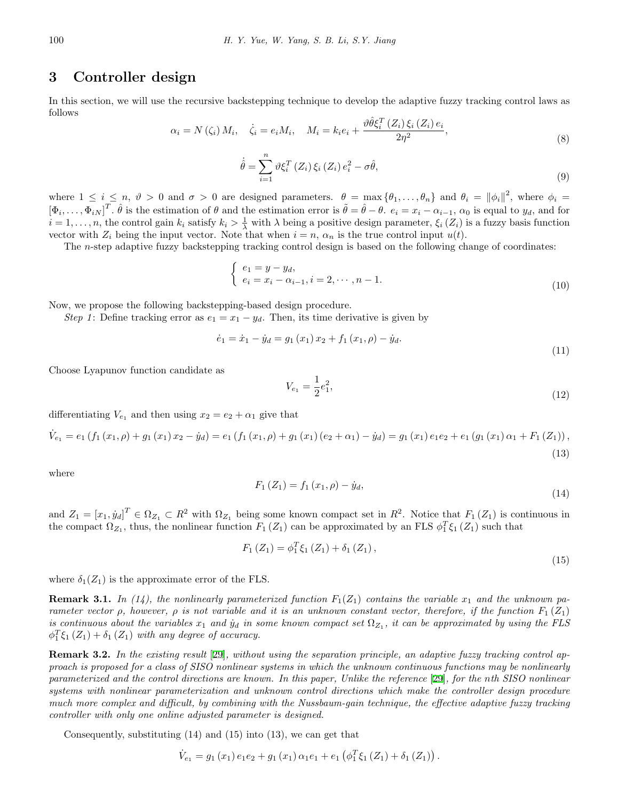## **3 Controller design**

In this section, we will use the recursive backstepping technique to develop the adaptive fuzzy tracking control laws as follows

$$
\alpha_i = N(\zeta_i) M_i, \quad \dot{\zeta}_i = e_i M_i, \quad M_i = k_i e_i + \frac{\vartheta \hat{\theta} \xi_i^T(Z_i) \xi_i(Z_i) e_i}{2\eta^2}, \tag{8}
$$

$$
\dot{\hat{\theta}} = \sum_{i=1}^{n} \vartheta \xi_i^T \left( Z_i \right) \xi_i \left( Z_i \right) e_i^2 - \sigma \hat{\theta}, \tag{9}
$$

where  $1 \leq i \leq n$ ,  $\vartheta > 0$  and  $\sigma > 0$  are designed parameters.  $\theta = \max{\{\theta_1, \ldots, \theta_n\}}$  and  $\theta_i = {\|\phi_i\|^2}$ , where  $\phi_i =$  $[\Phi_i,\ldots,\Phi_{iN}]^T$ .  $\hat{\theta}$  is the estimation of  $\theta$  and the estimation error is  $\tilde{\theta} = \hat{\theta} - \theta$ .  $e_i = x_i - \alpha_{i-1}$ ,  $\alpha_0$  is equal to  $y_d$ , and for  $i = 1, \ldots, n$ , the control gain  $k_i$  satisfy  $k_i > \frac{1}{\lambda}$  with  $\lambda$  being a positive design parameter,  $\xi_i(Z_i)$  is a fuzzy basis function vector with  $Z_i$  being the input vector. Note that when  $i = n$ ,  $\alpha_n$  is the true control input  $u(t)$ .

The *n*-step adaptive fuzzy backstepping tracking control design is based on the following change of coordinates:

$$
\begin{cases} e_1 = y - y_d, \\ e_i = x_i - \alpha_{i-1}, i = 2, \cdots, n-1. \end{cases}
$$
\n(10)

Now, we propose the following backstepping-based design procedure.

*Step 1*: Define tracking error as  $e_1 = x_1 - y_d$ . Then, its time derivative is given by

$$
\dot{e}_1 = \dot{x}_1 - \dot{y}_d = g_1(x_1)x_2 + f_1(x_1, \rho) - \dot{y}_d.
$$
\n(11)

Choose Lyapunov function candidate as

$$
V_{e_1} = \frac{1}{2}e_1^2,\tag{12}
$$

differentiating  $V_{e_1}$  and then using  $x_2 = e_2 + \alpha_1$  give that

$$
\dot{V}_{e_1} = e_1 \left( f_1 \left( x_1, \rho \right) + g_1 \left( x_1 \right) x_2 - \dot{y}_d \right) = e_1 \left( f_1 \left( x_1, \rho \right) + g_1 \left( x_1 \right) \left( e_2 + \alpha_1 \right) - \dot{y}_d \right) = g_1 \left( x_1 \right) e_1 e_2 + e_1 \left( g_1 \left( x_1 \right) \alpha_1 + F_1 \left( Z_1 \right) \right),\tag{13}
$$

where

$$
F_1(Z_1) = f_1(x_1, \rho) - \dot{y}_d,
$$
\n(14)

and  $Z_1 = [x_1, \dot{y}_d]^T \in \Omega_{Z_1} \subset R^2$  with  $\Omega_{Z_1}$  being some known compact set in  $R^2$ . Notice that  $F_1(Z_1)$  is continuous in the compact  $\Omega_{Z_1}$ , thus, the nonlinear function  $F_1(Z_1)$  can be approximated by an FLS  $\phi_1^T \xi_1(Z_1)$  such that

$$
F_1(Z_1) = \phi_1^T \xi_1(Z_1) + \delta_1(Z_1), \qquad (15)
$$

where  $\delta_1(Z_1)$  is the approximate error of the FLS.

**Remark 3.1.** In (14), the nonlinearly parameterized function  $F_1(Z_1)$  contains the variable  $x_1$  and the unknown pa*rameter vector*  $\rho$ , however,  $\rho$  *is not variable and it is an unknown constant vector, therefore, if the function*  $F_1(Z_1)$ *is continuous about the variables*  $x_1$  *and*  $y_d$  *in some known compact set*  $\Omega_{Z_1}$ *, it can be approximated by using the FLS*  $\phi_1^T \xi_1 (Z_1) + \delta_1 (Z_1)$  *with any degree of accuracy.* 

**Remark 3.2.** *In the existing result* [[29](#page-15-6)]*, without using the separation principle, an adaptive fuzzy tracking control approach is proposed for a class of SISO nonlinear systems in which the unknown continuous functions may be nonlinearly parameterized and the control directions are known. In this paper, Unlike the reference* [\[29](#page-15-6)]*, for the nth SISO nonlinear systems with nonlinear parameterization and unknown control directions which make the controller design procedure much more complex and difficult, by combining with the Nussbaum-gain technique, the effective adaptive fuzzy tracking controller with only one online adjusted parameter is designed.*

Consequently, substituting (14) and (15) into (13), we can get that

$$
\dot{V}_{e_1} = g_1(x_1) e_1 e_2 + g_1(x_1) \alpha_1 e_1 + e_1 (\phi_1^T \xi_1 (Z_1) + \delta_1 (Z_1)).
$$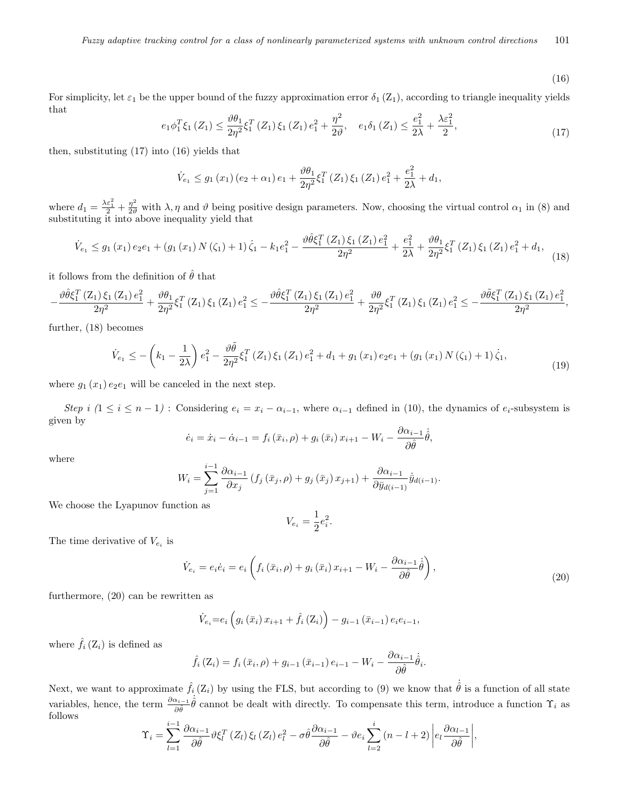(16)

For simplicity, let  $\varepsilon_1$  be the upper bound of the fuzzy approximation error  $\delta_1(Z_1)$ , according to triangle inequality yields that

$$
e_1 \phi_1^T \xi_1 \left( Z_1 \right) \le \frac{\vartheta \theta_1}{2\eta^2} \xi_1^T \left( Z_1 \right) \xi_1 \left( Z_1 \right) e_1^2 + \frac{\eta^2}{2\vartheta}, \quad e_1 \delta_1 \left( Z_1 \right) \le \frac{e_1^2}{2\lambda} + \frac{\lambda \varepsilon_1^2}{2},\tag{17}
$$

then, substituting (17) into (16) yields that

$$
\dot{V}_{e_1} \le g_1(x_1) (e_2 + \alpha_1) e_1 + \frac{\vartheta \theta_1}{2\eta^2} \xi_1^T(Z_1) \xi_1(Z_1) e_1^2 + \frac{e_1^2}{2\lambda} + d_1,
$$

where  $d_1 = \frac{\lambda \varepsilon_1^2}{2} + \frac{\eta^2}{2\vartheta}$  with  $\lambda, \eta$  and  $\vartheta$  being positive design parameters. Now, choosing the virtual control  $\alpha_1$  in (8) and substituting it into above inequality yield that

$$
\dot{V}_{e_1} \le g_1(x_1) e_2 e_1 + \left(g_1(x_1) N(\zeta_1) + 1\right) \dot{\zeta}_1 - k_1 e_1^2 - \frac{\vartheta \hat{\theta} \xi_1^T(Z_1) \xi_1(Z_1) e_1^2}{2\eta^2} + \frac{e_1^2}{2\lambda} + \frac{\vartheta \theta_1}{2\eta^2} \xi_1^T(Z_1) \xi_1(Z_1) e_1^2 + d_1,
$$
\n(18)

it follows from the definition of  $\hat{\theta}$  that

$$
-\frac{\vartheta\hat{\theta}\xi_{1}^{T}\left(Z_{1}\right)\xi_{1}\left(Z_{1}\right)e_{1}^{2}}{2\eta^{2}}+\frac{\vartheta\theta_{1}}{2\eta^{2}}\xi_{1}^{T}\left(Z_{1}\right)\xi_{1}\left(Z_{1}\right)e_{1}^{2}\leq-\frac{\vartheta\hat{\theta}\xi_{1}^{T}\left(Z_{1}\right)\xi_{1}\left(Z_{1}\right)e_{1}^{2}}{2\eta^{2}}+\frac{\vartheta\theta}{2\eta^{2}}\xi_{1}^{T}\left(Z_{1}\right)\xi_{1}\left(Z_{1}\right)e_{1}^{2}\leq-\frac{\vartheta\tilde{\theta}\xi_{1}^{T}\left(Z_{1}\right)\xi_{1}\left(Z_{1}\right)e_{1}^{2}}{2\eta^{2}},
$$

further, (18) becomes

$$
\dot{V}_{e_1} \le -\left(k_1 - \frac{1}{2\lambda}\right) e_1^2 - \frac{\vartheta \tilde{\theta}}{2\eta^2} \xi_1^T \left(Z_1\right) \xi_1 \left(Z_1\right) e_1^2 + d_1 + g_1 \left(x_1\right) e_2 e_1 + \left(g_1 \left(x_1\right) N \left(\zeta_1\right) + 1\right) \dot{\zeta}_1,
$$
\n
$$
\tag{19}
$$

where  $g_1(x_1) e_2 e_1$  will be canceled in the next step.

Step i  $(1 \le i \le n-1)$ : Considering  $e_i = x_i - \alpha_{i-1}$ , where  $\alpha_{i-1}$  defined in (10), the dynamics of  $e_i$ -subsystem is given by

$$
\dot{e}_i = \dot{x}_i - \dot{\alpha}_{i-1} = f_i\left(\bar{x}_i, \rho\right) + g_i\left(\bar{x}_i\right)x_{i+1} - W_i - \frac{\partial \alpha_{i-1}}{\partial \hat{\theta}} \dot{\hat{\theta}},
$$

where

$$
W_i = \sum_{j=1}^{i-1} \frac{\partial \alpha_{i-1}}{\partial x_j} \left( f_j \left( \bar{x}_j, \rho \right) + g_j \left( \bar{x}_j \right) x_{j+1} \right) + \frac{\partial \alpha_{i-1}}{\partial \bar{y}_{d(i-1)}} \dot{\bar{y}}_{d(i-1)}.
$$

We choose the Lyapunov function as

$$
V_{e_i} = \frac{1}{2}e_i^2.
$$

The time derivative of  $V_{e_i}$  is

$$
\dot{V}_{e_i} = e_i \dot{e}_i = e_i \left( f_i \left( \bar{x}_i, \rho \right) + g_i \left( \bar{x}_i \right) x_{i+1} - W_i - \frac{\partial \alpha_{i-1}}{\partial \hat{\theta}} \dot{\hat{\theta}} \right), \tag{20}
$$

furthermore, (20) can be rewritten as

$$
\dot{V}_{e_i} = e_i \left( g_i \left( \bar{x}_i \right) x_{i+1} + \hat{f}_i \left( \bar{Z}_i \right) \right) - g_{i-1} \left( \bar{x}_{i-1} \right) e_i e_{i-1},
$$

where  $\hat{f}_i(Z_i)$  is defined as

$$
\hat{f}_i(Z_i) = f_i(\bar{x}_i, \rho) + g_{i-1}(\bar{x}_{i-1}) e_{i-1} - W_i - \frac{\partial \alpha_{i-1}}{\partial \hat{\theta}} \dot{\hat{\theta}}_i.
$$

Next, we want to approximate  $\hat{f}_i(Z_i)$  by using the FLS, but according to (9) we know that  $\dot{\hat{\theta}}$  is a function of all state variables, hence, the term  $\frac{\partial \alpha_{i-1}}{\partial \hat{\theta}}\hat{\theta}$  cannot be dealt with directly. To compensate this term, introduce a function  $\Upsilon_i$  as follows *i−*1 *i*

$$
\Upsilon_{i} = \sum_{l=1}^{i-1} \frac{\partial \alpha_{i-1}}{\partial \hat{\theta}} \vartheta \xi_{l}^{T} (Z_{l}) \xi_{l} (Z_{l}) e_{l}^{2} - \sigma \hat{\theta} \frac{\partial \alpha_{i-1}}{\partial \hat{\theta}} - \vartheta e_{i} \sum_{l=2}^{i} (n - l + 2) \left| e_{l} \frac{\partial \alpha_{l-1}}{\partial \hat{\theta}} \right|,
$$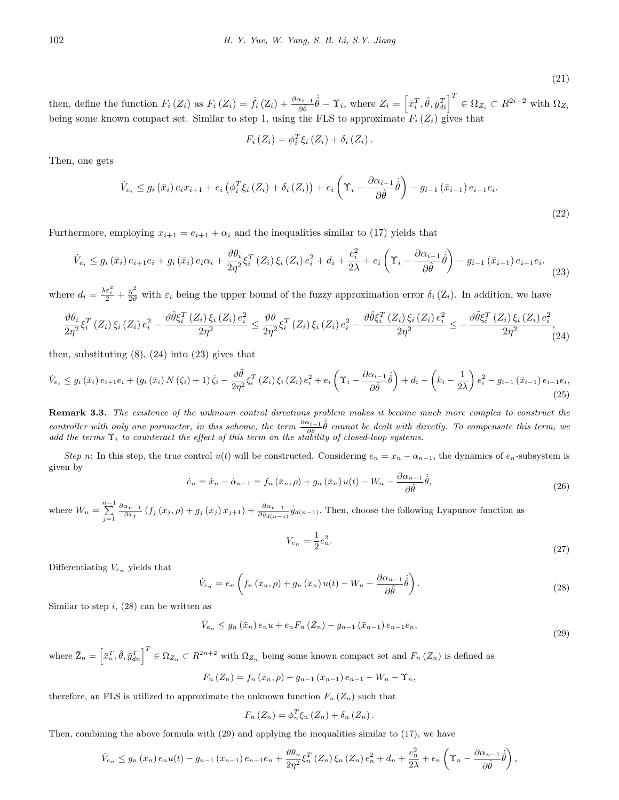(21)

then, define the function  $F_i(Z_i)$  as  $F_i(Z_i) = \hat{f}_i(Z_i) + \frac{\partial \alpha_{i-1}}{\partial \hat{\theta}} \dot{\hat{\theta}} - \Upsilon_i$ , where  $Z_i = \left[\bar{x}_i^T, \hat{\theta}, \bar{y}_{di}^T\right]^T \in \Omega_{Z_i} \subset R^{2i+2}$  with  $\Omega_{Z_i}$ being some known compact set. Similar to step 1, using the FLS to approximate  $F_i(Z_i)$  gives that

$$
F_i(Z_i) = \phi_i^T \xi_i(Z_i) + \delta_i(Z_i).
$$

Then, one gets

$$
\dot{V}_{e_i} \le g_i\left(\bar{x}_i\right) e_i x_{i+1} + e_i \left(\phi_i^T \xi_i \left(Z_i\right) + \delta_i \left(Z_i\right)\right) + e_i \left(\Upsilon_i - \frac{\partial \alpha_{i-1}}{\partial \hat{\theta}} \dot{\hat{\theta}}\right) - g_{i-1} \left(\bar{x}_{i-1}\right) e_{i-1} e_i.
$$
\n(22)

Furthermore, employing  $x_{i+1} = e_{i+1} + \alpha_i$  and the inequalities similar to (17) yields that

$$
\dot{V}_{e_i} \le g_i\left(\bar{x}_i\right) e_{i+1} e_i + g_i\left(\bar{x}_i\right) e_i \alpha_i + \frac{\vartheta \theta_i}{2\eta^2} \xi_i^T\left(Z_i\right) \xi_i\left(Z_i\right) e_i^2 + d_i + \frac{e_i^2}{2\lambda} + e_i\left(\Upsilon_i - \frac{\partial \alpha_{i-1}}{\partial \hat{\theta}} \dot{\hat{\theta}}\right) - g_{i-1}\left(\bar{x}_{i-1}\right) e_{i-1} e_i. \tag{23}
$$

where  $d_i = \frac{\lambda \varepsilon_i^2}{2} + \frac{\eta^2}{2\vartheta}$  with  $\varepsilon_i$  being the upper bound of the fuzzy approximation error  $\delta_i(Z_i)$ . In addition, we have

$$
\frac{\partial \theta_i}{\partial \eta^2} \xi_i^T(Z_i) \xi_i(Z_i) e_i^2 - \frac{\partial \hat{\theta} \xi_i^T(Z_i) \xi_i(Z_i) e_i^2}{2\eta^2} \le \frac{\partial \theta}{2\eta^2} \xi_i^T(Z_i) \xi_i(Z_i) e_i^2 - \frac{\partial \hat{\theta} \xi_i^T(Z_i) \xi_i(Z_i) e_i^2}{2\eta^2} \le -\frac{\partial \tilde{\theta} \xi_i^T(Z_i) \xi_i(Z_i) e_i^2}{2\eta^2}.
$$
\n(24)

then, substituting  $(8)$ ,  $(24)$  into  $(23)$  gives that

$$
\dot{V}_{e_i} \leq g_i\left(\bar{x}_i\right) e_{i+1} e_i + \left(g_i\left(\bar{x}_i\right) N\left(\zeta_i\right) + 1\right) \dot{\zeta}_i - \frac{\vartheta \tilde{\theta}}{2\eta^2} \xi_i^T\left(Z_i\right) \xi_i\left(Z_i\right) e_i^2 + e_i \left(\Upsilon_i - \frac{\partial \alpha_{i-1}}{\partial \hat{\theta}} \dot{\theta}\right) + d_i - \left(k_i - \frac{1}{2\lambda}\right) e_i^2 - g_{i-1}\left(\bar{x}_{i-1}\right) e_{i-1} e_i,\tag{25}
$$

**Remark 3.3.** *The existence of the unknown control directions problem makes it become much more complex to construct the controller with only one parameter, in this scheme, the term*  $\frac{\partial \alpha_{i-1}}{\partial \hat{\theta}}\hat{\theta}$  *cannot be dealt with directly. To compensate this term, we add the terms* Υ*<sup>i</sup> to counteract the effect of this term on the stability of closed-loop systems.*

*Step n*: In this step, the true control  $u(t)$  will be constructed. Considering  $e_n = x_n - \alpha_{n-1}$ , the dynamics of  $e_n$ -subsystem is given by

$$
\dot{e}_n = \dot{x}_n - \dot{\alpha}_{n-1} = f_n(\bar{x}_n, \rho) + g_n(\bar{x}_n) u(t) - W_n - \frac{\partial \alpha_{n-1}}{\partial \hat{\theta}} \dot{\hat{\theta}},
$$
\n(26)

where  $W_n = \sum_{j=1}^{n-1}$  $\frac{\partial \alpha_{n-1}}{\partial x_j} (f_j(\bar{x}_j,\rho) + g_j(\bar{x}_j)x_{j+1}) + \frac{\partial \alpha_{n-1}}{\partial \bar{y}_{d(n-1)}} \dot{\bar{y}}_{d(n-1)}$ . Then, choose the following Lyapunov function as

$$
V_{e_n} = \frac{1}{2}e_n^2.
$$
\n(27)

Differentiating *V<sup>e</sup><sup>n</sup>* yields that

$$
\dot{V}_{e_n} = e_n \left( f_n \left( \bar{x}_n, \rho \right) + g_n \left( \bar{x}_n \right) u(t) - W_n - \frac{\partial \alpha_{n-1}}{\partial \hat{\theta}} \dot{\hat{\theta}} \right). \tag{28}
$$

Similar to step *i*, (28) can be written as

$$
\dot{V}_{e_n} \le g_n(\bar{x}_n) e_n u + e_n F_n(Z_n) - g_{n-1}(\bar{x}_{n-1}) e_{n-1} e_n,
$$
\n(29)

where  $\bar{Z}_n = \left[\bar{x}_n^T, \hat{\theta}, \bar{y}_{dn}^T\right]^T \in \Omega_{Z_n} \subset R^{2n+2}$  with  $\Omega_{Z_n}$  being some known compact set and  $F_n(Z_n)$  is defined as

$$
F_n(Z_n) = f_n(\bar{x}_n, \rho) + g_{n-1}(\bar{x}_{n-1}) e_{n-1} - W_n - \Upsilon_n,
$$

therefore, an FLS is utilized to approximate the unknown function  $F_n(Z_n)$  such that

$$
F_n(Z_n) = \phi_n^T \xi_n(Z_n) + \delta_n(Z_n).
$$

Then, combining the above formula with (29) and applying the inequalities similar to (17), we have

$$
\dot{V}_{e_n} \leq g_n(\bar{x}_n) e_n u(t) - g_{n-1}(\bar{x}_{n-1}) e_{n-1} e_n + \frac{\vartheta \theta_n}{2\eta^2} \xi_n^T(Z_n) \xi_n(Z_n) e_n^2 + d_n + \frac{e_n^2}{2\lambda} + e_n \left(\Upsilon_n - \frac{\partial \alpha_{n-1}}{\partial \hat{\theta}} \dot{\hat{\theta}}\right),
$$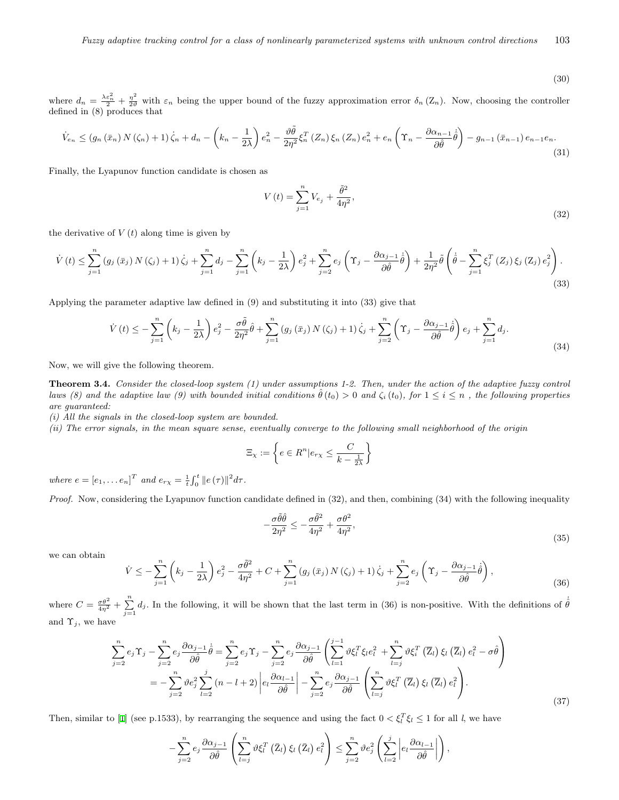(30)

where  $d_n = \frac{\lambda \varepsilon_n^2}{2} + \frac{\eta^2}{2\vartheta}$  with  $\varepsilon_n$  being the upper bound of the fuzzy approximation error  $\delta_n(Z_n)$ . Now, choosing the controller defined in (8) produces that

$$
\dot{V}_{e_n} \le (g_n(\bar{x}_n) N(\zeta_n) + 1) \dot{\zeta}_n + d_n - \left( k_n - \frac{1}{2\lambda} \right) e_n^2 - \frac{\vartheta \tilde{\theta}}{2\eta^2} \xi_n^T(Z_n) \xi_n(Z_n) e_n^2 + e_n \left( \Upsilon_n - \frac{\partial \alpha_{n-1}}{\partial \hat{\theta}} \dot{\hat{\theta}} \right) - g_{n-1}(\bar{x}_{n-1}) e_{n-1} e_n. \tag{31}
$$

Finally, the Lyapunov function candidate is chosen as

$$
V(t) = \sum_{j=1}^{n} V_{e_j} + \frac{\tilde{\theta}^2}{4\eta^2},
$$
\n(32)

the derivative of  $V(t)$  along time is given by

$$
\dot{V}(t) \leq \sum_{j=1}^{n} (g_j(\bar{x}_j) N(\zeta_j) + 1) \dot{\zeta}_j + \sum_{j=1}^{n} d_j - \sum_{j=1}^{n} \left( k_j - \frac{1}{2\lambda} \right) e_j^2 + \sum_{j=2}^{n} e_j \left( \Upsilon_j - \frac{\partial \alpha_{j-1}}{\partial \hat{\theta}} \dot{\hat{\theta}} \right) + \frac{1}{2\eta^2} \tilde{\theta} \left( \dot{\hat{\theta}} - \sum_{j=1}^{n} \xi_j^T(Z_j) \xi_j(Z_j) e_j^2 \right).
$$
\n(33)

Applying the parameter adaptive law defined in (9) and substituting it into (33) give that

$$
\dot{V}(t) \leq -\sum_{j=1}^{n} \left(k_j - \frac{1}{2\lambda}\right) e_j^2 - \frac{\sigma \tilde{\theta}}{2\eta^2} \hat{\theta} + \sum_{j=1}^{n} \left(g_j\left(\bar{x}_j\right) N\left(\zeta_j\right) + 1\right) \dot{\zeta}_j + \sum_{j=2}^{n} \left(\Upsilon_j - \frac{\partial \alpha_{j-1}}{\partial \hat{\theta}} \dot{\hat{\theta}}\right) e_j + \sum_{j=1}^{n} d_j. \tag{34}
$$

Now, we will give the following theorem.

**Theorem 3.4.** *Consider the closed-loop system (1) under assumptions 1-2. Then, under the action of the adaptive fuzzy control* laws (8) and the adaptive law (9) with bounded initial conditions  $\hat{\theta}(t_0) > 0$  and  $\zeta_i(t_0)$ , for  $1 \leq i \leq n$ , the following properties *are guaranteed:*

*(i) All the signals in the closed-loop system are bounded.*

*(ii) The error signals, in the mean square sense, eventually converge to the following small neighborhood of the origin*

$$
\Xi_{\chi} := \left\{ e \in R^n | e_{r\chi} \le \frac{C}{k - \frac{1}{2\lambda}} \right\}
$$

*where*  $e = [e_1, \ldots e_n]^T$  *and*  $e_{r\chi} = \frac{1}{t} \int_0^t ||e(\tau)||^2 d\tau$ .

*Proof.* Now, considering the Lyapunov function candidate defined in (32), and then, combining (34) with the following inequality

$$
-\frac{\sigma\tilde{\theta}\hat{\theta}}{2\eta^2} \le -\frac{\sigma\tilde{\theta}^2}{4\eta^2} + \frac{\sigma\theta^2}{4\eta^2},\tag{35}
$$

we can obtain

$$
\dot{V} \leq -\sum_{j=1}^{n} \left( k_j - \frac{1}{2\lambda} \right) e_j^2 - \frac{\sigma \tilde{\theta}^2}{4\eta^2} + C + \sum_{j=1}^{n} \left( g_j \left( \bar{x}_j \right) N \left( \zeta_j \right) + 1 \right) \dot{\zeta}_j + \sum_{j=2}^{n} e_j \left( \Upsilon_j - \frac{\partial \alpha_{j-1}}{\partial \hat{\theta}} \dot{\hat{\theta}} \right),\tag{36}
$$

where  $C = \frac{\sigma \theta^2}{4\eta^2} + \sum_{j=1}^n d_j$ . In the following, it will be shown that the last term in (36) is non-positive. With the definitions of  $\dot{\hat{\theta}}$ and  $\Upsilon_j$ , we have

$$
\sum_{j=2}^{n} e_j \Upsilon_j - \sum_{j=2}^{n} e_j \frac{\partial \alpha_{j-1}}{\partial \hat{\theta}} \dot{\theta} = \sum_{j=2}^{n} e_j \Upsilon_j - \sum_{j=2}^{n} e_j \frac{\partial \alpha_{j-1}}{\partial \hat{\theta}} \left( \sum_{l=1}^{j-1} \vartheta \xi_l^T \xi_l e_l^2 + \sum_{l=j}^{n} \vartheta \xi_l^T (\overline{Z}_l) \xi_l (\overline{Z}_l) e_l^2 - \sigma \hat{\theta} \right)
$$
  
= 
$$
- \sum_{j=2}^{n} \vartheta e_j^2 \sum_{l=2}^{j} (n-l+2) \left| e_l \frac{\partial \alpha_{l-1}}{\partial \hat{\theta}} \right| - \sum_{j=2}^{n} e_j \frac{\partial \alpha_{j-1}}{\partial \hat{\theta}} \left( \sum_{l=j}^{n} \vartheta \xi_l^T (\overline{Z}_l) \xi_l (\overline{Z}_l) e_l^2 \right).
$$
(37)

Then, similar to [[1\]](#page-14-9) (see p.1533), by rearranging the sequence and using the fact  $0 < \xi_l^T \xi_l \le 1$  for all *l*, we have

$$
-\sum_{j=2}^n e_j \frac{\partial \alpha_{j-1}}{\partial \hat{\theta}} \left( \sum_{l=j}^n \vartheta \xi_l^T \left( \bar{Z}_l \right) \xi_l \left( \bar{Z}_l \right) e_l^2 \right) \leq \sum_{j=2}^n \vartheta e_j^2 \left( \sum_{l=2}^j \left| e_l \frac{\partial \alpha_{l-1}}{\partial \hat{\theta}} \right| \right),
$$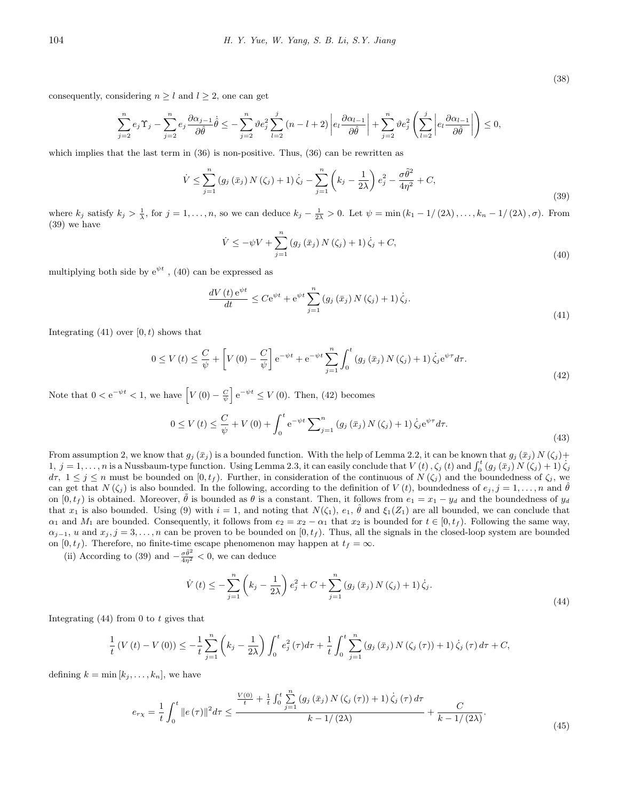consequently, considering  $n \geq l$  and  $l \geq 2$ , one can get

$$
\sum_{j=2}^{n} e_j \Upsilon_j - \sum_{j=2}^{n} e_j \frac{\partial \alpha_{j-1}}{\partial \hat{\theta}} \dot{\hat{\theta}} \leq -\sum_{j=2}^{n} \vartheta e_j^2 \sum_{l=2}^{j} (n-l+2) \left| e_l \frac{\partial \alpha_{l-1}}{\partial \hat{\theta}} \right| + \sum_{j=2}^{n} \vartheta e_j^2 \left( \sum_{l=2}^{j} \left| e_l \frac{\partial \alpha_{l-1}}{\partial \hat{\theta}} \right| \right) \leq 0,
$$

which implies that the last term in  $(36)$  is non-positive. Thus,  $(36)$  can be rewritten as

$$
\dot{V} \leq \sum_{j=1}^{n} \left( g_j \left( \bar{x}_j \right) N \left( \zeta_j \right) + 1 \right) \dot{\zeta}_j - \sum_{j=1}^{n} \left( k_j - \frac{1}{2\lambda} \right) e_j^2 - \frac{\sigma \tilde{\theta}^2}{4\eta^2} + C,
$$
\n(39)

where  $k_j$  satisfy  $k_j > \frac{1}{\lambda}$ , for  $j = 1, ..., n$ , so we can deduce  $k_j - \frac{1}{2\lambda} > 0$ . Let  $\psi = \min(k_1 - 1/(2\lambda), ..., k_n - 1/(2\lambda), \sigma)$ . From (39) we have

$$
\dot{V} \le -\psi V + \sum_{j=1}^{n} (g_j(\bar{x}_j) N(\zeta_j) + 1) \dot{\zeta}_j + C,
$$
\n(40)

multiplying both side by  $e^{\psi t}$ , (40) can be expressed as

$$
\frac{dV(t)e^{\psi t}}{dt} \le Ce^{\psi t} + e^{\psi t} \sum_{j=1}^{n} \left(g_j\left(\bar{x}_j\right) N\left(\zeta_j\right) + 1\right) \dot{\zeta}_j. \tag{41}
$$

Integrating  $(41)$  over  $[0, t)$  shows that

$$
0 \le V(t) \le \frac{C}{\psi} + \left[ V(0) - \frac{C}{\psi} \right] e^{-\psi t} + e^{-\psi t} \sum_{j=1}^{n} \int_{0}^{t} \left( g_j\left(\bar{x}_j\right) N\left(\zeta_j\right) + 1 \right) \dot{\zeta}_j e^{\psi \tau} d\tau. \tag{42}
$$

Note that  $0 < e^{-\psi t} < 1$ , we have  $\left[ V(0) - \frac{C}{\psi} \right] e^{-\psi t} \le V(0)$ . Then, (42) becomes

$$
0 \le V(t) \le \frac{C}{\psi} + V(0) + \int_0^t e^{-\psi t} \sum_{j=1}^n (g_j(\bar{x}_j) N(\zeta_j) + 1) \dot{\zeta}_j e^{\psi \tau} d\tau.
$$
\n(43)

From assumption 2, we know that  $g_j(\bar{x}_j)$  is a bounded function. With the help of Lemma 2.2, it can be known that  $g_j(\bar{x}_j) N(\zeta_j)$ + 1,  $j = 1, ..., n$  is a Nussbaum-type function. Using Lemma 2.3, it can easily conclude that  $V(t)$ ,  $\zeta_j(t)$  and  $\int_0^t (g_j(\bar{x}_j) N(\zeta_j) + 1) \dot{\zeta}_j$  $d\tau$ ,  $1 \leq j \leq n$  must be bounded on  $[0, t_j)$ . Further, in consideration of the continuous of  $N(\zeta_j)$  and the boundedness of  $\zeta_j$ , we can get that *N* ( $\zeta_j$ ) is also bounded. In the following, according to the definition of *V* (*t*), boundedness of  $e_j$ ,  $j = 1, \ldots, n$  and  $\hat{\theta}$ on  $[0, t_f)$  is obtained. Moreover,  $\tilde{\theta}$  is bounded as  $\theta$  is a constant. Then, it follows from  $e_1 = x_1 - y_d$  and the boundedness of  $y_d$ that  $x_1$  is also bounded. Using (9) with  $i = 1$ , and noting that  $N(\zeta_1)$ ,  $e_1$ ,  $\hat{\theta}$  and  $\xi_1(Z_1)$  are all bounded, we can conclude that *α*<sub>1</sub> and *M*<sub>1</sub> are bounded. Consequently, it follows from  $e_2 = x_2 - \alpha_1$  that  $x_2$  is bounded for  $t \in [0, t_f)$ . Following the same way,  $\alpha_{j-1}$ , *u* and  $x_j$ ,  $j = 3, \ldots, n$  can be proven to be bounded on [0, *t<sub>f</sub>*). Thus, all the signals in the closed-loop system are bounded on  $[0, t_f)$ . Therefore, no finite-time escape phenomenon may happen at  $t_f = \infty$ .

(ii) According to (39) and  $-\frac{\sigma \tilde{\theta}^2}{4\eta^2} < 0$ , we can deduce

$$
\dot{V}(t) \leq -\sum_{j=1}^{n} \left( k_j - \frac{1}{2\lambda} \right) e_j^2 + C + \sum_{j=1}^{n} \left( g_j \left( \bar{x}_j \right) N \left( \zeta_j \right) + 1 \right) \dot{\zeta}_j.
$$
\n(44)

Integrating (44) from 0 to *t* gives that

$$
\frac{1}{t}\left(V\left(t\right)-V\left(0\right)\right) \leq -\frac{1}{t}\sum_{j=1}^{n}\left(k_{j}-\frac{1}{2\lambda}\right)\int_{0}^{t}e_{j}^{2}\left(\tau\right)d\tau + \frac{1}{t}\int_{0}^{t}\sum_{j=1}^{n}\left(g_{j}\left(\bar{x}_{j}\right)N\left(\zeta_{j}\left(\tau\right)\right)+1\right)\dot{\zeta}_{j}\left(\tau\right)d\tau + C,
$$

defining  $k = \min[k_1, \ldots, k_n]$ , we have

$$
e_{r\chi} = \frac{1}{t} \int_0^t \|e(\tau)\|^2 d\tau \le \frac{\frac{V(0)}{t} + \frac{1}{t} \int_0^t \sum_{j=1}^n (g_j(\bar{x}_j) N(\zeta_j(\tau)) + 1) \dot{\zeta}_j(\tau) d\tau}{k - 1/(2\lambda)} + \frac{C}{k - 1/(2\lambda)}.
$$
\n(45)

(38)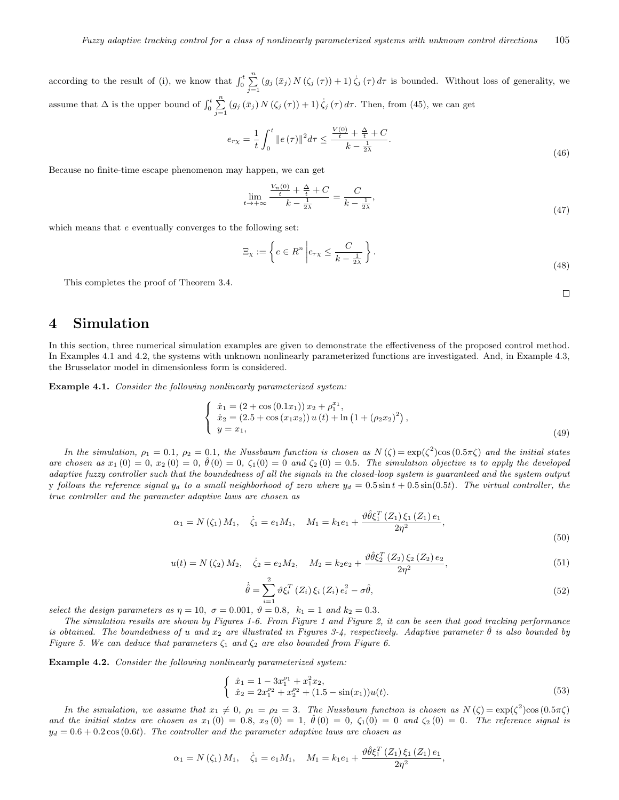according to the result of (i), we know that  $\int_0^t \sum_{j=1}^n (g_j(\bar{x}_j) N(\zeta_j(\tau)) + 1) \dot{\zeta}_j(\tau) d\tau$  is bounded. Without loss of generality, we assume that  $\Delta$  is the upper bound of  $\int_0^t \sum_{j=1}^n (g_j(\bar{x}_j) N(\zeta_j(\tau)) + 1) \dot{\zeta}_j(\tau) d\tau$ . Then, from (45), we can get

$$
e_{r\chi} = \frac{1}{t} \int_0^t \|e(\tau)\|^2 d\tau \le \frac{\frac{V(0)}{t} + \frac{\Delta}{t} + C}{k - \frac{1}{2\lambda}}.
$$
\n(46)

Because no finite-time escape phenomenon may happen, we can get

$$
\lim_{t \to +\infty} \frac{\frac{V_n(0)}{t} + \frac{\Delta}{t} + C}{k - \frac{1}{2\lambda}} = \frac{C}{k - \frac{1}{2\lambda}},\tag{47}
$$

which means that *e* eventually converges to the following set:

$$
\Xi_{\chi} := \left\{ e \in R^n \left| e_{r\chi} \le \frac{C}{k - \frac{1}{2\lambda}} \right. \right\}.
$$
\n(48)

This completes the proof of Theorem 3.4.

 $\Box$ 

# **4 Simulation**

In this section, three numerical simulation examples are given to demonstrate the effectiveness of the proposed control method. In Examples 4.1 and 4.2, the systems with unknown nonlinearly parameterized functions are investigated. And, in Example 4.3, the Brusselator model in dimensionless form is considered.

**Example 4.1.** *Consider the following nonlinearly parameterized system:*

$$
\begin{cases}\n\dot{x}_1 = (2 + \cos(0.1x_1)) x_2 + \rho_1^{x_1}, \\
\dot{x}_2 = (2.5 + \cos(x_1x_2)) u(t) + \ln(1 + (\rho_2x_2)^2), \\
y = x_1,\n\end{cases}
$$
\n(49)

*In the simulation,*  $\rho_1 = 0.1$ ,  $\rho_2 = 0.1$ , the Nussbaum function is chosen as  $N(\zeta) = \exp(\zeta^2) \cos(0.5\pi\zeta)$  and the initial states *are chosen as*  $x_1(0) = 0$ ,  $x_2(0) = 0$ ,  $\hat{\theta}(0) = 0$ ,  $\zeta_1(0) = 0$  and  $\zeta_2(0) = 0.5$ . The simulation objective is to apply the developed *adaptive fuzzy controller such that the boundedness of all the signals in the closed-loop system is guaranteed and the system output* y *follows the reference signal*  $y_d$  to a small neighborhood of zero where  $y_d = 0.5 \sin t + 0.5 \sin(0.5t)$ . The virtual controller, the *true controller and the parameter adaptive laws are chosen as*

$$
\alpha_1 = N(\zeta_1) M_1, \quad \dot{\zeta}_1 = e_1 M_1, \quad M_1 = k_1 e_1 + \frac{\vartheta \hat{\theta} \xi_1^T(Z_1) \xi_1(Z_1) e_1}{2\eta^2},\tag{50}
$$

$$
u(t) = N(\zeta_2) M_2, \quad \dot{\zeta}_2 = e_2 M_2, \quad M_2 = k_2 e_2 + \frac{\vartheta \hat{\theta} \xi_2^T(Z_2) \xi_2(Z_2) e_2}{2\eta^2}, \tag{51}
$$

$$
\dot{\hat{\theta}} = \sum_{i=1}^{2} \vartheta \xi_i^T \left( Z_i \right) \xi_i \left( Z_i \right) e_i^2 - \sigma \hat{\theta}, \tag{52}
$$

*select the design parameters as*  $\eta = 10$ ,  $\sigma = 0.001$ ,  $\vartheta = 0.8$ ,  $k_1 = 1$  and  $k_2 = 0.3$ .

*The simulation results are shown by Figures 1-6. From Figure 1 and Figure 2, it can be seen that good tracking performance is obtained. The boundedness of <i>u* and  $x_2$  are illustrated in Figures 3-4, respectively. Adaptive parameter  $\hat{\theta}$  is also bounded by *Figure 5. We can deduce that parameters ζ*<sup>1</sup> *and ζ*<sup>2</sup> *are also bounded from Figure 6.*

**Example 4.2.** *Consider the following nonlinearly parameterized system:*

$$
\begin{cases} \n\dot{x}_1 = 1 - 3x_1^{\rho_1} + x_1^2 x_2, \\ \n\dot{x}_2 = 2x_1^{\rho_2} + x_2^{\rho_2} + (1.5 - \sin(x_1))u(t). \n\end{cases} \tag{53}
$$

*In the simulation, we assume that*  $x_1 \neq 0$ ,  $\rho_1 = \rho_2 = 3$ . The Nussbaum function is chosen as  $N(\zeta) = \exp(\zeta^2) \cos(0.5\pi\zeta)$ *and the initial states are chosen as*  $x_1(0) = 0.8$ ,  $x_2(0) = 1$ ,  $\hat{\theta}(0) = 0$ ,  $\zeta_1(0) = 0$  and  $\zeta_2(0) = 0$ . The reference signal is  $y_d = 0.6 + 0.2 \cos(0.6t)$ . The controller and the parameter adaptive laws are chosen as

$$
\alpha_1 = N(\zeta_1) M_1, \quad \dot{\zeta}_1 = e_1 M_1, \quad M_1 = k_1 e_1 + \frac{\vartheta \hat{\theta} \xi_1^T(Z_1) \xi_1(Z_1) e_1}{2\eta^2},
$$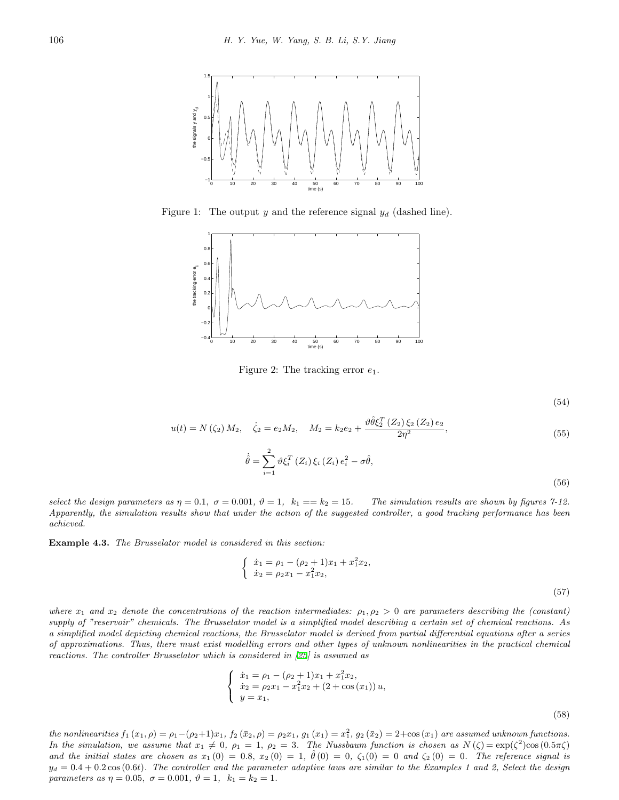

Figure 1: The output *y* and the reference signal *y<sup>d</sup>* (dashed line).



Figure 2: The tracking error *e*1.

(54)

$$
u(t) = N(\zeta_2) M_2, \quad \dot{\zeta}_2 = e_2 M_2, \quad M_2 = k_2 e_2 + \frac{\vartheta \hat{\theta} \xi_2^T(Z_2) \xi_2(Z_2) e_2}{2\eta^2}, \tag{55}
$$

$$
\dot{\hat{\theta}} = \sum_{i=1}^{2} \vartheta \xi_i^T \left( Z_i \right) \xi_i \left( Z_i \right) e_i^2 - \sigma \hat{\theta},\tag{56}
$$

*select the design parameters as*  $\eta = 0.1$ ,  $\sigma = 0.001$ ,  $\vartheta = 1$ ,  $k_1 == k_2 = 15$ . The simulation results are shown by figures 7-12. *Apparently, the simulation results show that under the action of the suggested controller, a good tracking performance has been achieved.*

**Example 4.3.** *The Brusselator model is considered in this section:*

$$
\begin{cases} \n\dot{x}_1 = \rho_1 - (\rho_2 + 1)x_1 + x_1^2 x_2, \\ \n\dot{x}_2 = \rho_2 x_1 - x_1^2 x_2, \n\end{cases} \n\tag{57}
$$

*where*  $x_1$  and  $x_2$  denote the concentrations of the reaction intermediates:  $\rho_1, \rho_2 > 0$  are parameters describing the (constant) *supply of "reservoir" chemicals. The Brusselator model is a simplified model describing a certain set of chemical reactions. As a simplified model depicting chemical reactions, the Brusselator model is derived from partial differential equations after a series of approximations. Thus, there must exist modelling errors and other types of unknown nonlinearities in the practical chemical reactions. The controller Brusselator which is considered in [\[25\]](#page-15-18) is assumed as* 

$$
\begin{cases}\n\dot{x}_1 = \rho_1 - (\rho_2 + 1)x_1 + x_1^2 x_2, \\
\dot{x}_2 = \rho_2 x_1 - x_1^2 x_2 + (2 + \cos(x_1)) u, \\
y = x_1,\n\end{cases}
$$
\n(58)

the nonlinearities  $f_1(x_1, \rho) = \rho_1 - (\rho_2 + 1)x_1$ ,  $f_2(\bar{x}_2, \rho) = \rho_2 x_1$ ,  $g_1(x_1) = x_1^2$ ,  $g_2(\bar{x}_2) = 2 + \cos(x_1)$  are assumed unknown functions. *In the simulation, we assume that*  $x_1 \neq 0$ ,  $\rho_1 = 1$ ,  $\rho_2 = 3$ . The Nussbaum function is chosen as  $N(\zeta) = \exp(\zeta^2) \cos(0.5\pi\zeta)$ *and the initial states are chosen as*  $x_1(0) = 0.8$ ,  $x_2(0) = 1$ ,  $\hat{\theta}(0) = 0$ ,  $\zeta_1(0) = 0$  and  $\zeta_2(0) = 0$ . The reference signal is  $y_d = 0.4 + 0.2 \cos(0.6t)$ . The controller and the parameter adaptive laws are similar to the Examples 1 and 2, Select the design *parameters as*  $\eta = 0.05$ ,  $\sigma = 0.001$ ,  $\vartheta = 1$ ,  $k_1 = k_2 = 1$ .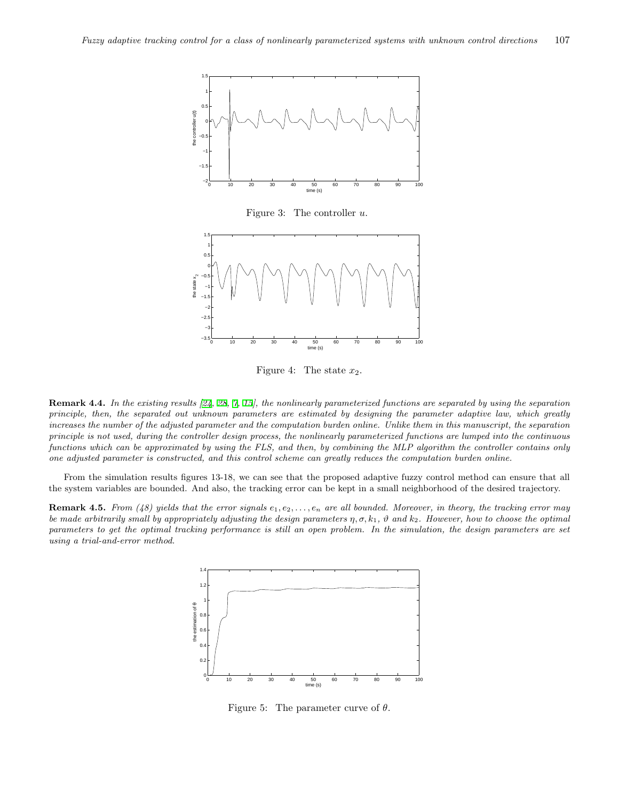

Figure 3: The controller *u*.



Figure 4: The state  $x_2$ .

**Remark 4.4.** *In the existing results [[24](#page-15-10), [28](#page-15-11), [7,](#page-14-4) [15\]](#page-15-9), the nonlinearly parameterized functions are separated by using the separation principle, then, the separated out unknown parameters are estimated by designing the parameter adaptive law, which greatly increases the number of the adjusted parameter and the computation burden online. Unlike them in this manuscript, the separation principle is not used, during the controller design process, the nonlinearly parameterized functions are lumped into the continuous functions which can be approximated by using the FLS, and then, by combining the MLP algorithm the controller contains only one adjusted parameter is constructed, and this control scheme can greatly reduces the computation burden online.*

From the simulation results figures 13-18, we can see that the proposed adaptive fuzzy control method can ensure that all the system variables are bounded. And also, the tracking error can be kept in a small neighborhood of the desired trajectory.

**Remark 4.5.** *From (48) yields that the error signals e*1*, e*2*, . . . , e<sup>n</sup> are all bounded. Moreover, in theory, the tracking error may be made arbitrarily small by appropriately adjusting the design parameters η, σ, k*1*, ϑ and k*2*. However, how to choose the optimal parameters to get the optimal tracking performance is still an open problem. In the simulation, the design parameters are set using a trial-and-error method.*



Figure 5: The parameter curve of *θ*.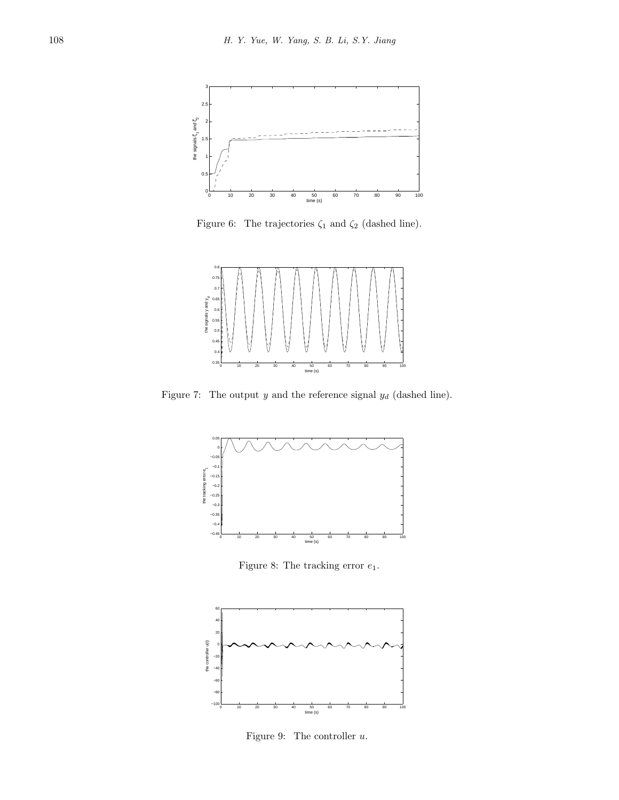

Figure 6: The trajectories  $\zeta_1$  and  $\zeta_2$  (dashed line).



Figure 7: The output  $y$  and the reference signal  $y_d$  (dashed line).



Figure 8: The tracking error *e*1.



Figure 9: The controller *u*.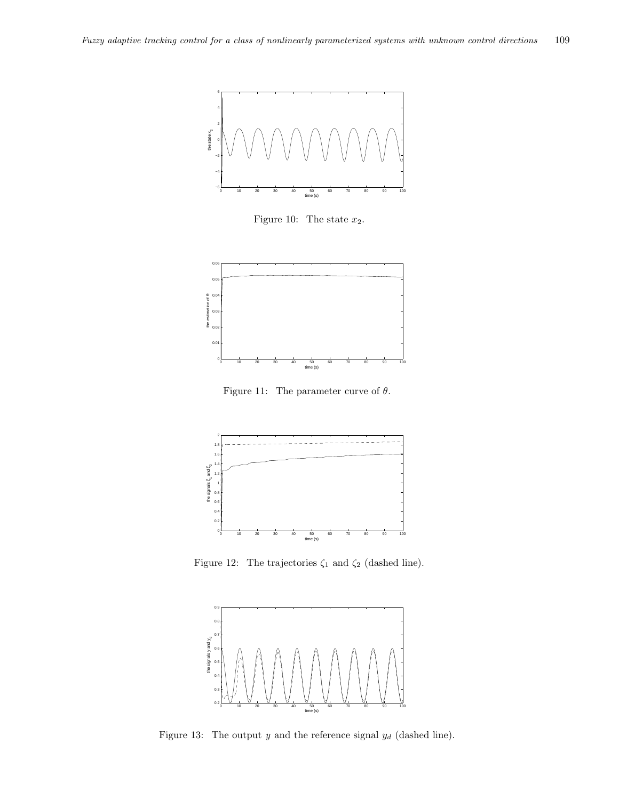

Figure 10: The state  $x_2$ .



Figure 11: The parameter curve of *θ*.



Figure 12: The trajectories  $\zeta_1$  and  $\zeta_2$  (dashed line).



Figure 13: The output *y* and the reference signal *y<sup>d</sup>* (dashed line).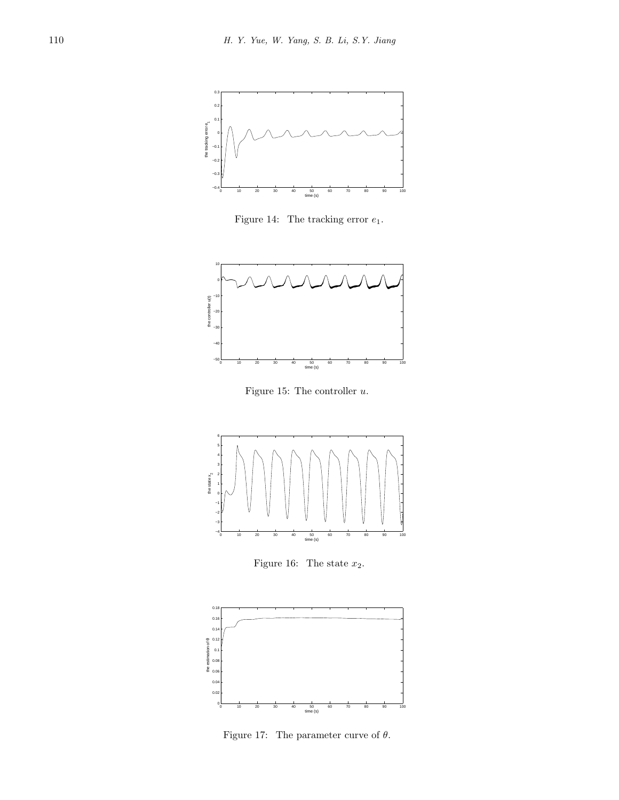

Figure 14: The tracking error *e*1.



Figure 15: The controller *u*.



Figure 16: The state  $x_2$ .



Figure 17: The parameter curve of *θ*.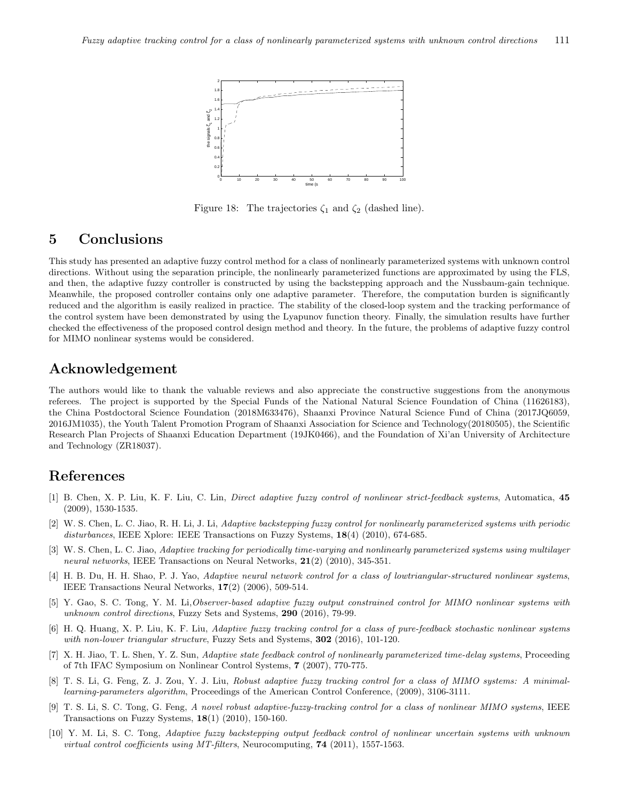

Figure 18: The trajectories  $ζ_1$  and  $ζ_2$  (dashed line).

# **5 Conclusions**

This study has presented an adaptive fuzzy control method for a class of nonlinearly parameterized systems with unknown control directions. Without using the separation principle, the nonlinearly parameterized functions are approximated by using the FLS, and then, the adaptive fuzzy controller is constructed by using the backstepping approach and the Nussbaum-gain technique. Meanwhile, the proposed controller contains only one adaptive parameter. Therefore, the computation burden is significantly reduced and the algorithm is easily realized in practice. The stability of the closed-loop system and the tracking performance of the control system have been demonstrated by using the Lyapunov function theory. Finally, the simulation results have further checked the effectiveness of the proposed control design method and theory. In the future, the problems of adaptive fuzzy control for MIMO nonlinear systems would be considered.

# **Acknowledgement**

The authors would like to thank the valuable reviews and also appreciate the constructive suggestions from the anonymous referees. The project is supported by the Special Funds of the National Natural Science Foundation of China (11626183), the China Postdoctoral Science Foundation (2018M633476), Shaanxi Province Natural Science Fund of China (2017JQ6059, 2016JM1035), the Youth Talent Promotion Program of Shaanxi Association for Science and Technology(20180505), the Scientific Research Plan Projects of Shaanxi Education Department (19JK0466), and the Foundation of Xi'an University of Architecture and Technology (ZR18037).

## **References**

- <span id="page-14-9"></span>[1] B. Chen, X. P. Liu, K. F. Liu, C. Lin, *Direct adaptive fuzzy control of nonlinear strict-feedback systems*, Automatica, **45** (2009), 1530-1535.
- <span id="page-14-2"></span>[2] W. S. Chen, L. C. Jiao, R. H. Li, J. Li, *Adaptive backstepping fuzzy control for nonlinearly parameterized systems with periodic disturbances*, IEEE Xplore: IEEE Transactions on Fuzzy Systems, **18**(4) (2010), 674-685.
- <span id="page-14-3"></span>[3] W. S. Chen, L. C. Jiao, *Adaptive tracking for periodically time-varying and nonlinearly parameterized systems using multilayer neural networks*, IEEE Transactions on Neural Networks, **21**(2) (2010), 345-351.
- <span id="page-14-8"></span>[4] H. B. Du, H. H. Shao, P. J. Yao, *Adaptive neural network control for a class of lowtriangular-structured nonlinear systems*, IEEE Transactions Neural Networks, **17**(2) (2006), 509-514.
- <span id="page-14-5"></span>[5] Y. Gao, S. C. Tong, Y. M. Li,*Observer-based adaptive fuzzy output constrained control for MIMO nonlinear systems with unknown control directions*, Fuzzy Sets and Systems, **290** (2016), 79-99.
- <span id="page-14-7"></span>[6] H. Q. Huang, X. P. Liu, K. F. Liu, *Adaptive fuzzy tracking control for a class of pure-feedback stochastic nonlinear systems with non-lower triangular structure*, Fuzzy Sets and Systems, **302** (2016), 101-120.
- <span id="page-14-4"></span>[7] X. H. Jiao, T. L. Shen, Y. Z. Sun, *Adaptive state feedback control of nonlinearly parameterized time-delay systems*, Proceeding of 7th IFAC Symposium on Nonlinear Control Systems, **7** (2007), 770-775.
- <span id="page-14-6"></span>[8] T. S. Li, G. Feng, Z. J. Zou, Y. J. Liu, *Robust adaptive fuzzy tracking control for a class of MIMO systems: A minimallearning-parameters algorithm*, Proceedings of the American Control Conference, (2009), 3106-3111.
- <span id="page-14-1"></span>[9] T. S. Li, S. C. Tong, G. Feng, *A novel robust adaptive-fuzzy-tracking control for a class of nonlinear MIMO systems*, IEEE Transactions on Fuzzy Systems, **18**(1) (2010), 150-160.
- <span id="page-14-0"></span>[10] Y. M. Li, S. C. Tong, *Adaptive fuzzy backstepping output feedback control of nonlinear uncertain systems with unknown virtual control coefficients using MT-filters*, Neurocomputing, **74** (2011), 1557-1563.